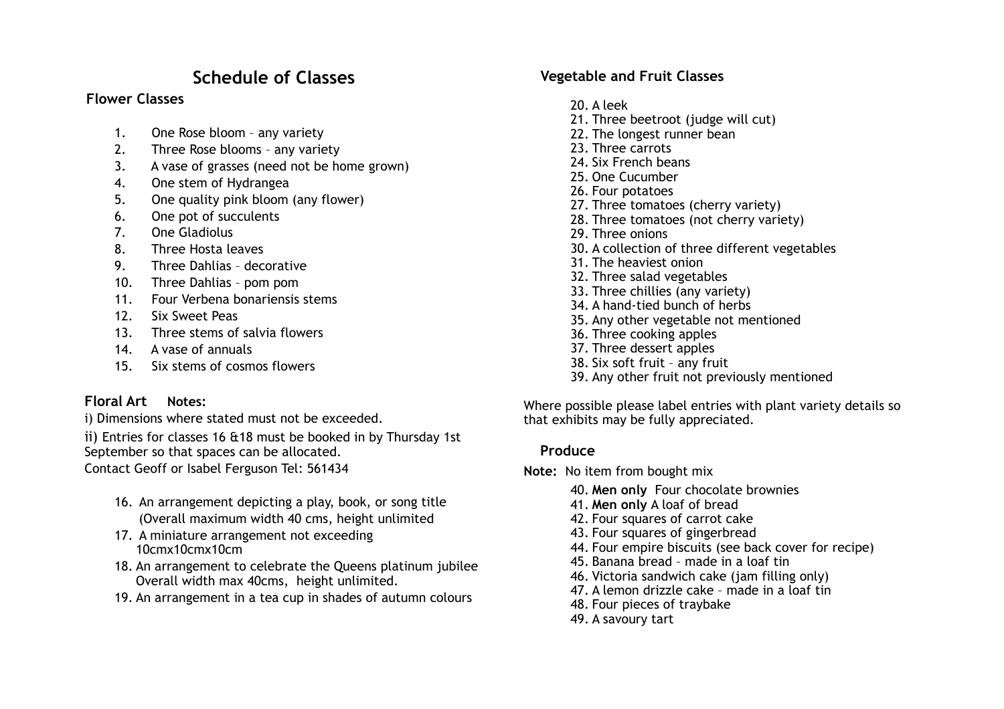## **Schedule of Classes**

#### **Flower Classes**

- 1. One Rose bloom any variety
- 2. Three Rose blooms any variety
- 3. A vase of grasses (need not be home grown)
- 4. One stem of Hydrangea
- 5. One quality pink bloom (any flower)
- 6. One pot of succulents
- 7. One Gladiolus
- 8. Three Hosta leaves
- 9. Three Dahlias decorative
- 10. Three Dahlias pom pom
- 11. Four Verbena bonariensis stems
- 12. Six Sweet Peas
- 13. Three stems of salvia flowers
- 14. A vase of annuals
- 15. Six stems of cosmos flowers

#### **Floral Art Notes:**

i) Dimensions where stated must not be exceeded.

ii) Entries for classes 16 &18 must be booked in by Thursday 1st September so that spaces can be allocated.

Contact Geoff or Isabel Ferguson Tel: 561434

- 16. An arrangement depicting a play, book, or song title (Overall maximum width 40 cms, height unlimited
- 17. A miniature arrangement not exceeding 10cmx10cmx10cm
- 18. An arrangement to celebrate the Queens platinum jubilee Overall width max 40cms, height unlimited.
- 19. An arrangement in a tea cup in shades of autumn colours

#### **Vegetable and Fruit Classes**

- 20. A leek 21. Three beetroot (judge will cut) 22. The longest runner bean 23. Three carrots 24. Six French beans 25. One Cucumber 26. Four potatoes 27. Three tomatoes (cherry variety) 28. Three tomatoes (not cherry variety) 29. Three onions 30. A collection of three different vegetables 31. The heaviest onion 32. Three salad vegetables 33. Three chillies (any variety) 34. A hand-tied bunch of herbs 35. Any other vegetable not mentioned 36. Three cooking apples 37. Three dessert apples 38. Six soft fruit – any fruit
- 39. Any other fruit not previously mentioned

Where possible please label entries with plant variety details so that exhibits may be fully appreciated.

#### **Produce**

**Note:** No item from bought mix

- 40. **Men only** Four chocolate brownies
- 41. **Men only** A loaf of bread
- 42. Four squares of carrot cake
- 43. Four squares of gingerbread
- 44. Four empire biscuits (see back cover for recipe)
- 45. Banana bread made in a loaf tin
- 46. Victoria sandwich cake (jam filling only)
- 47. A lemon drizzle cake made in a loaf tin
- 48. Four pieces of traybake
- 49. A savoury tart